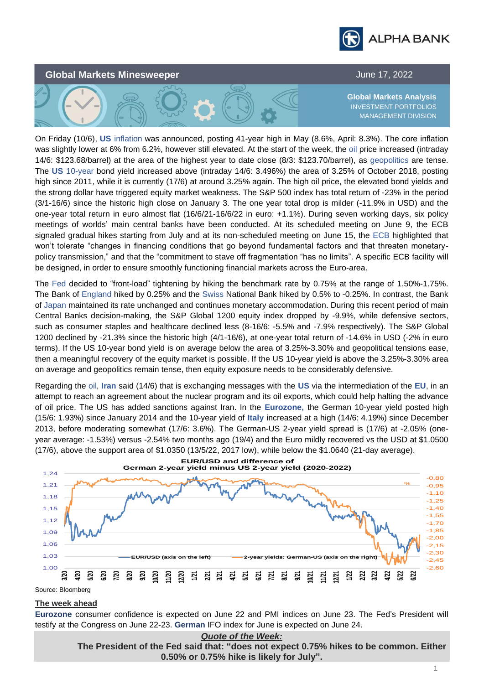



On Friday (10/6), **US** inflation was announced, posting 41-year high in May (8.6%, April: 8.3%). The core inflation was slightly lower at 6% from 6.2%, however still elevated. At the start of the week, the oil price increased (intraday 14/6: \$123.68/barrel) at the area of the highest year to date close (8/3: \$123.70/barrel), as geopolitics are tense. The **US** 10-year bond yield increased above (intraday 14/6: 3.496%) the area of 3.25% of October 2018, posting high since 2011, while it is currently (17/6) at around 3.25% again. The high oil price, the elevated bond yields and the strong dollar have triggered equity market weakness. The S&P 500 index has total return of -23% in the period (3/1-16/6) since the historic high close on January 3. Τhe one year total drop is milder (-11.9% in USD) and the one-year total return in euro almost flat (16/6/21-16/6/22 in euro: +1.1%). During seven working days, six policy meetings of worlds' main central banks have been conducted. At its scheduled meeting on June 9, the ECB signaled gradual hikes starting from July and at its non-scheduled meeting on June 15, the ECB highlighted that won't tolerate "changes in financing conditions that go beyond fundamental factors and that threaten monetarypolicy transmission," and that the "commitment to stave off fragmentation "has no limits". A specific ECB facility will be designed, in order to ensure smoothly functioning financial markets across the Euro-area.

The Fed decided to "front-load" tightening by hiking the benchmark rate by 0.75% at the range of 1.50%-1.75%. The Bank of England hiked by 0.25% and the Swiss National Bank hiked by 0.5% to -0.25%. In contrast, the Bank of Japan maintained its rate unchanged and continues monetary accommodation. During this recent period of main Central Banks decision-making, the S&P Global 1200 equity index dropped by -9.9%, while defensive sectors, such as consumer staples and healthcare declined less (8-16/6: -5.5% and -7.9% respectively). The S&P Global 1200 declined by -21.3% since the historic high (4/1-16/6), at one-year total return of -14.6% in USD (-2% in euro terms). If the US 10-year bond yield is on average below the area of 3.25%-3.30% and geopolitical tensions ease, then a meaningful recovery of the equity market is possible. If the US 10-year yield is above the 3.25%-3.30% area on average and geopolitics remain tense, then equity exposure needs to be considerably defensive.

Regarding the oil, **Iran** said (14/6) that is exchanging messages with the **US** via the intermediation of the **EU**, in an attempt to reach an agreement about the nuclear program and its oil exports, which could help halting the advance of oil price. Τhe US has added sanctions against Iran. In the **Eurozone,** the German 10-year yield posted high (15/6: 1.93%) since January 2014 and the 10-year yield of **Italy** increased at a high (14/6: 4.19%) since December 2013, before moderating somewhat (17/6: 3.6%). The German-US 2-year yield spread is (17/6) at -2.05% (oneyear average: -1.53%) versus -2.54% two months ago (19/4) and the Euro mildly recovered vs the USD at \$1.0500 (17/6), above the support area of \$1.0350 (13/5/22, 2017 low), while below the \$1.0640 (21-day average).



Source: Bloomberg

## **The week ahead**

**Eurozone** consumer confidence is expected on June 22 and PMI indices on June 23. The Fed's President will testify at the Congress on June 22-23. **German** IFO index for June is expected on June 24.

> *Quote of the Week:* **The President of the Fed said that: "does not expect 0.75% hikes to be common. Either 0.50% or 0.75% hike is likely for July".**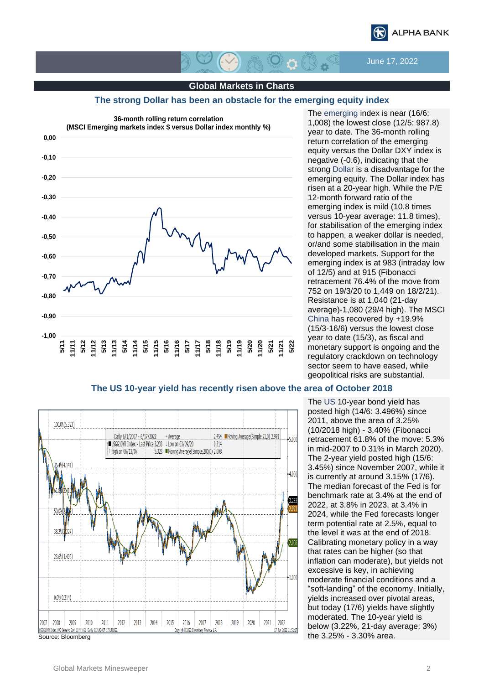

June 17, 2022

## **Global Markets in Charts**

 $\mathcal{B} \cap \mathbb{C}$ 

### **Τhe strong Dollar has been an obstacle for the emerging equity index**



The emerging index is near (16/6: 1,008) the lowest close (12/5: 987.8) year to date. The 36-month rolling return correlation of the emerging equity versus the Dollar DXY index is negative (-0.6), indicating that the strong Dollar is a disadvantage for the emerging equity. The Dollar index has risen at a 20-year high. While the P/E 12-month forward ratio of the emerging index is mild (10.8 times versus 10-year average: 11.8 times), for stabilisation of the emerging index to happen, a weaker dollar is needed, or/and some stabilisation in the main developed markets. Support for the emerging index is at 983 (intraday low of 12/5) and at 915 (Fibonacci retracement 76.4% of the move from 752 on 19/3/20 to 1,449 on 18/2/21). Resistance is at 1,040 (21-day average)-1,080 (29/4 high). The MSCI China has recovered by +19.9% (15/3-16/6) versus the lowest close year to date (15/3), as fiscal and monetary support is ongoing and the regulatory crackdown on technology sector seem to have eased, while geopolitical risks are substantial.

# **The US 10-year yield has recently risen above the area of October 2018**



The US 10-year bond yield has posted high (14/6: 3.496%) since 2011, above the area of 3.25% (10/2018 high) - 3.40% (Fibonacci retracement 61.8% of the move: 5.3% in mid-2007 to 0.31% in March 2020). The 2-year yield posted high (15/6: 3.45%) since November 2007, while it is currently at around 3.15% (17/6). The median forecast of the Fed is for benchmark rate at 3.4% at the end of 2022, at 3.8% in 2023, at 3.4% in 2024, while the Fed forecasts longer term potential rate at 2.5%, equal to the level it was at the end of 2018. Calibrating monetary policy in a way that rates can be higher (so that inflation can moderate), but yields not excessive is key, in achieving moderate financial conditions and a "soft-landing" of the economy. Initially, yields increased over pivotal areas, but today (17/6) yields have slightly moderated. The 10-year yield is below (3.22%, 21-day average: 3%) the 3.25% - 3.30% area.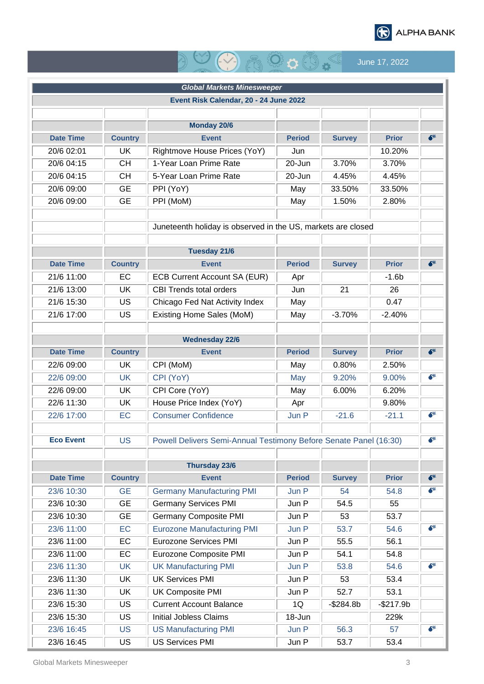

# $\bigcirc$   $\bigcirc$   $\bigcirc$   $\bigcirc$   $\bigcirc$  June 17, 2022

|                  |                | <b>Global Markets Minesweeper</b>                                 |               |               |              |             |  |
|------------------|----------------|-------------------------------------------------------------------|---------------|---------------|--------------|-------------|--|
|                  |                | Event Risk Calendar, 20 - 24 June 2022                            |               |               |              |             |  |
|                  |                |                                                                   |               |               |              |             |  |
|                  |                | <b>Monday 20/6</b>                                                |               |               |              |             |  |
| <b>Date Time</b> | <b>Country</b> | <b>Event</b>                                                      | <b>Period</b> | <b>Survey</b> | <b>Prior</b> | $\bullet^*$ |  |
| 20/6 02:01       | <b>UK</b>      | Rightmove House Prices (YoY)                                      | Jun           |               | 10.20%       |             |  |
| 20/6 04:15       | <b>CH</b>      | 1-Year Loan Prime Rate                                            | 20-Jun        | 3.70%         | 3.70%        |             |  |
| 20/6 04:15       | <b>CH</b>      | 5-Year Loan Prime Rate                                            | 20-Jun        | 4.45%         | 4.45%        |             |  |
| 20/6 09:00       | <b>GE</b>      | PPI (YoY)                                                         | May           | 33.50%        | 33.50%       |             |  |
| 20/6 09:00       | <b>GE</b>      | PPI (MoM)                                                         | May           | 1.50%         | 2.80%        |             |  |
|                  |                |                                                                   |               |               |              |             |  |
|                  |                | Juneteenth holiday is observed in the US, markets are closed      |               |               |              |             |  |
|                  |                |                                                                   |               |               |              |             |  |
|                  |                | <b>Tuesday 21/6</b>                                               |               |               |              |             |  |
| <b>Date Time</b> | <b>Country</b> | <b>Event</b>                                                      | <b>Period</b> | <b>Survey</b> | <b>Prior</b> | $\bullet^*$ |  |
| 21/6 11:00       | EC             | <b>ECB Current Account SA (EUR)</b>                               | Apr           |               | $-1.6b$      |             |  |
| 21/6 13:00       | <b>UK</b>      | <b>CBI Trends total orders</b>                                    | Jun           | 21            | 26           |             |  |
| 21/6 15:30       | US             | Chicago Fed Nat Activity Index                                    | May           |               | 0.47         |             |  |
| 21/6 17:00       | US             | Existing Home Sales (MoM)                                         | May           | $-3.70%$      | $-2.40%$     |             |  |
|                  |                |                                                                   |               |               |              |             |  |
|                  |                | <b>Wednesday 22/6</b>                                             |               |               |              |             |  |
| <b>Date Time</b> | <b>Country</b> | <b>Event</b>                                                      | <b>Period</b> | <b>Survey</b> | <b>Prior</b> | $\bullet^*$ |  |
| 22/6 09:00       | UK             | CPI (MoM)                                                         | May           | 0.80%         | 2.50%        |             |  |
| 22/6 09:00       | <b>UK</b>      | CPI (YoY)                                                         | May           | 9.20%         | 9.00%        | $\bullet^*$ |  |
| 22/6 09:00       | <b>UK</b>      | CPI Core (YoY)                                                    | May           | 6.00%         | 6.20%        |             |  |
| 22/6 11:30       | UK             | House Price Index (YoY)                                           | Apr           |               | 9.80%        |             |  |
| 22/6 17:00       | EC             | <b>Consumer Confidence</b>                                        | Jun P         | $-21.6$       | $-21.1$      | $\bullet^*$ |  |
|                  |                |                                                                   |               |               |              |             |  |
| <b>Eco Event</b> | <b>US</b>      | Powell Delivers Semi-Annual Testimony Before Senate Panel (16:30) |               |               |              |             |  |
|                  |                |                                                                   |               |               |              |             |  |
|                  |                | Thursday 23/6                                                     |               |               |              |             |  |
| <b>Date Time</b> | <b>Country</b> | <b>Event</b>                                                      | <b>Period</b> | <b>Survey</b> | <b>Prior</b> | $\bullet^*$ |  |
| 23/6 10:30       | <b>GE</b>      | <b>Germany Manufacturing PMI</b>                                  | Jun P         | 54            | 54.8         | €*          |  |
| 23/6 10:30       | <b>GE</b>      | <b>Germany Services PMI</b>                                       | Jun P         | 54.5          | 55           |             |  |
| 23/6 10:30       | <b>GE</b>      | <b>Germany Composite PMI</b>                                      | Jun P         | 53            | 53.7         |             |  |
| 23/6 11:00       | EC             | <b>Eurozone Manufacturing PMI</b>                                 | Jun P         | 53.7          | 54.6         | $\bullet^*$ |  |
| 23/6 11:00       | <b>EC</b>      | <b>Eurozone Services PMI</b>                                      | Jun P         | 55.5          | 56.1         |             |  |
| 23/6 11:00       | EC             | Eurozone Composite PMI                                            | Jun P         | 54.1          | 54.8         |             |  |
| 23/6 11:30       | <b>UK</b>      | <b>UK Manufacturing PMI</b>                                       | Jun P         | 53.8          | 54.6         | $\bullet^*$ |  |
| 23/6 11:30       | UK             | <b>UK Services PMI</b>                                            | Jun P         | 53            | 53.4         |             |  |
| 23/6 11:30       | UK             | <b>UK Composite PMI</b>                                           | Jun P         | 52.7          | 53.1         |             |  |
| 23/6 15:30       | <b>US</b>      | <b>Current Account Balance</b>                                    | 1Q            | $-$284.8b$    | $-$217.9b$   |             |  |
| 23/6 15:30       | <b>US</b>      | <b>Initial Jobless Claims</b>                                     | 18-Jun        |               | 229k         |             |  |
| 23/6 16:45       | <b>US</b>      | <b>US Manufacturing PMI</b>                                       | Jun P         | 56.3          | 57           | $\bullet^*$ |  |
| 23/6 16:45       | <b>US</b>      | <b>US Services PMI</b>                                            | Jun P         | 53.7          | 53.4         |             |  |